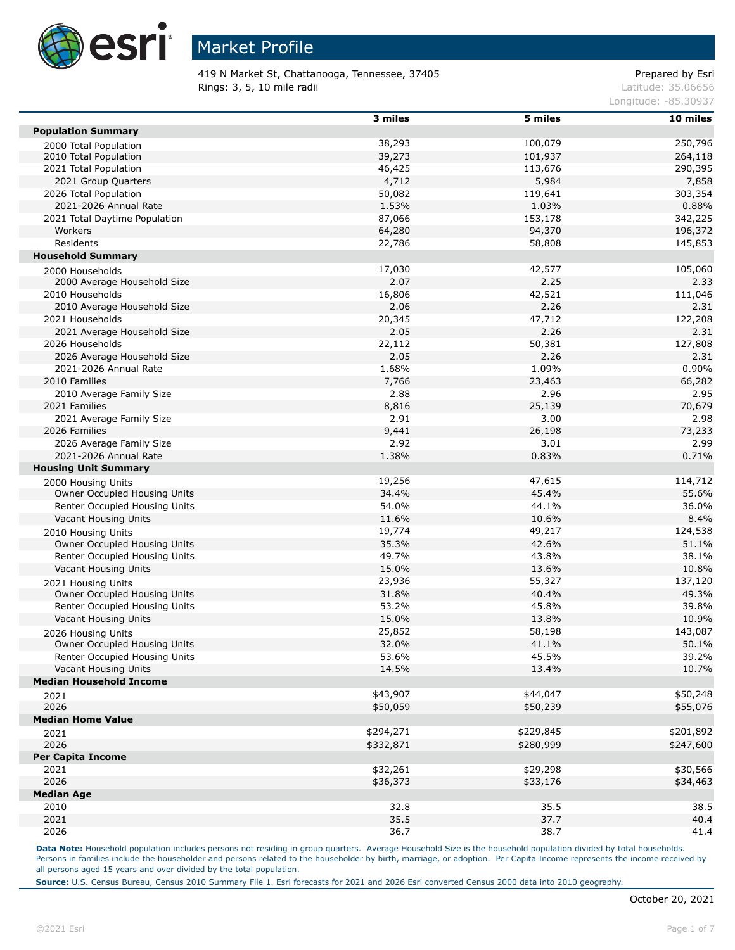

419 N Market St, Chattanooga, Tennessee, 37405 Prepared by Esri **Rings: 3, 5, 10 mile radii** Latitude: 35.06656

Longitude: -85.30937

|                                                    | 3 miles   | 5 miles   | 10 miles  |
|----------------------------------------------------|-----------|-----------|-----------|
| <b>Population Summary</b>                          |           |           |           |
| 2000 Total Population                              | 38,293    | 100,079   | 250,796   |
| 2010 Total Population                              | 39,273    | 101,937   | 264,118   |
| 2021 Total Population                              | 46,425    | 113,676   | 290,395   |
| 2021 Group Quarters                                | 4,712     | 5,984     | 7,858     |
| 2026 Total Population                              | 50,082    | 119,641   | 303,354   |
| 2021-2026 Annual Rate                              | 1.53%     | 1.03%     | 0.88%     |
| 2021 Total Daytime Population                      | 87,066    | 153,178   | 342,225   |
| Workers                                            | 64,280    | 94,370    | 196,372   |
| Residents                                          | 22,786    | 58,808    | 145,853   |
| <b>Household Summary</b>                           |           |           |           |
| 2000 Households                                    | 17,030    | 42,577    | 105,060   |
| 2000 Average Household Size                        | 2.07      | 2.25      | 2.33      |
| 2010 Households                                    | 16,806    | 42,521    | 111,046   |
| 2010 Average Household Size                        | 2.06      | 2.26      | 2.31      |
| 2021 Households                                    | 20,345    | 47,712    | 122,208   |
| 2021 Average Household Size                        | 2.05      | 2.26      | 2.31      |
| 2026 Households                                    | 22,112    | 50,381    | 127,808   |
| 2026 Average Household Size                        | 2.05      | 2.26      | 2.31      |
| 2021-2026 Annual Rate                              | 1.68%     | 1.09%     | 0.90%     |
| 2010 Families                                      | 7,766     | 23,463    | 66,282    |
| 2010 Average Family Size                           | 2.88      | 2.96      | 2.95      |
| 2021 Families                                      | 8,816     | 25,139    | 70,679    |
| 2021 Average Family Size                           | 2.91      | 3.00      | 2.98      |
| 2026 Families                                      | 9,441     | 26,198    | 73,233    |
| 2026 Average Family Size                           | 2.92      | 3.01      | 2.99      |
| 2021-2026 Annual Rate                              | 1.38%     | 0.83%     | 0.71%     |
| <b>Housing Unit Summary</b>                        |           |           |           |
|                                                    | 19,256    | 47,615    | 114,712   |
| 2000 Housing Units<br>Owner Occupied Housing Units | 34.4%     | 45.4%     | 55.6%     |
| Renter Occupied Housing Units                      | 54.0%     | 44.1%     | 36.0%     |
| Vacant Housing Units                               | 11.6%     | 10.6%     | 8.4%      |
|                                                    | 19,774    | 49,217    |           |
| 2010 Housing Units                                 |           |           | 124,538   |
| Owner Occupied Housing Units                       | 35.3%     | 42.6%     | 51.1%     |
| Renter Occupied Housing Units                      | 49.7%     | 43.8%     | 38.1%     |
| Vacant Housing Units                               | 15.0%     | 13.6%     | 10.8%     |
| 2021 Housing Units                                 | 23,936    | 55,327    | 137,120   |
| Owner Occupied Housing Units                       | 31.8%     | 40.4%     | 49.3%     |
| Renter Occupied Housing Units                      | 53.2%     | 45.8%     | 39.8%     |
| Vacant Housing Units                               | 15.0%     | 13.8%     | 10.9%     |
| 2026 Housing Units                                 | 25,852    | 58,198    | 143,087   |
| Owner Occupied Housing Units                       | 32.0%     | 41.1%     | 50.1%     |
| Renter Occupied Housing Units                      | 53.6%     | 45.5%     | 39.2%     |
| Vacant Housing Units                               | 14.5%     | 13.4%     | 10.7%     |
| <b>Median Household Income</b>                     |           |           |           |
| 2021                                               | \$43,907  | \$44,047  | \$50,248  |
| 2026                                               | \$50,059  | \$50,239  | \$55,076  |
| <b>Median Home Value</b>                           |           |           |           |
| 2021                                               | \$294,271 | \$229,845 | \$201,892 |
| 2026                                               | \$332,871 | \$280,999 | \$247,600 |
| <b>Per Capita Income</b>                           |           |           |           |
| 2021                                               | \$32,261  | \$29,298  | \$30,566  |
| 2026                                               | \$36,373  | \$33,176  | \$34,463  |
| <b>Median Age</b>                                  |           |           |           |
| 2010                                               | 32.8      | 35.5      | 38.5      |
| 2021                                               | 35.5      | 37.7      | 40.4      |
| 2026                                               | 36.7      | 38.7      | 41.4      |

Data Note: Household population includes persons not residing in group quarters. Average Household Size is the household population divided by total households. Persons in families include the householder and persons related to the householder by birth, marriage, or adoption. Per Capita Income represents the income received by all persons aged 15 years and over divided by the total population.

**Source:** U.S. Census Bureau, Census 2010 Summary File 1. Esri forecasts for 2021 and 2026 Esri converted Census 2000 data into 2010 geography.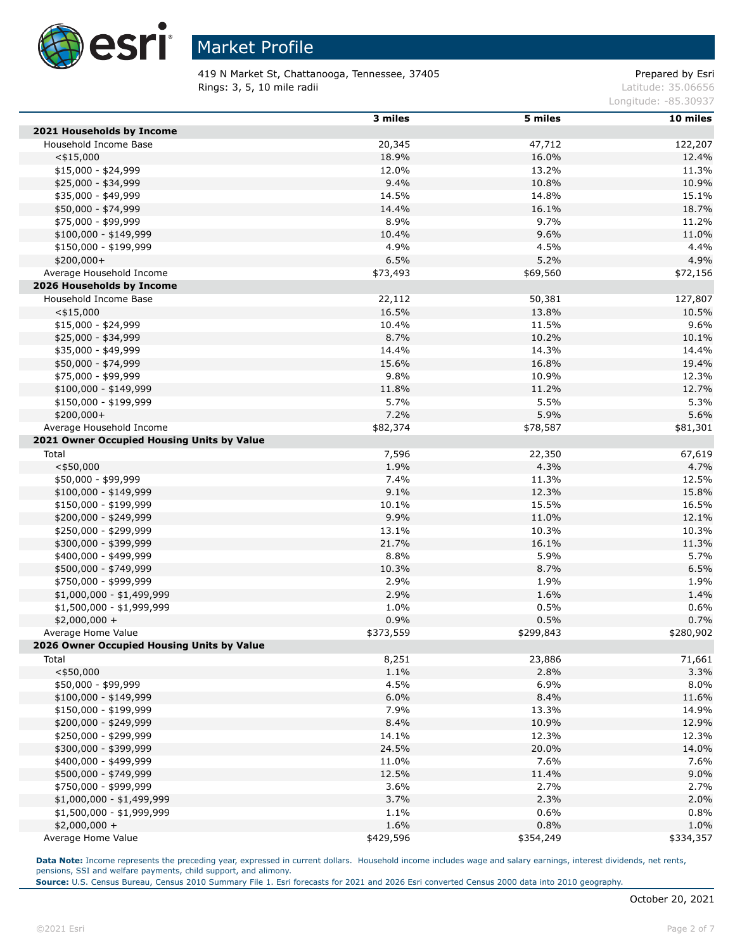

419 N Market St, Chattanooga, Tennessee, 37405 Prepared by Esri Rings: 3, 5, 10 mile radii and the contract of the contract of the contract of the contract of the contract of the contract of the contract of the contract of the contract of the contract of the contract of the contract of

Longitude: -85.30937

|                                                                        | 3 miles   | 5 miles   | 10 miles  |
|------------------------------------------------------------------------|-----------|-----------|-----------|
| 2021 Households by Income                                              |           |           |           |
| Household Income Base                                                  | 20,345    | 47,712    | 122,207   |
| $<$ \$15,000                                                           | 18.9%     | 16.0%     | 12.4%     |
| $$15,000 - $24,999$                                                    | 12.0%     | 13.2%     | 11.3%     |
| \$25,000 - \$34,999                                                    | 9.4%      | 10.8%     | 10.9%     |
| \$35,000 - \$49,999                                                    | 14.5%     | 14.8%     | 15.1%     |
| \$50,000 - \$74,999                                                    | 14.4%     | 16.1%     | 18.7%     |
| \$75,000 - \$99,999                                                    | 8.9%      | 9.7%      | 11.2%     |
| $$100,000 - $149,999$                                                  | 10.4%     | 9.6%      | 11.0%     |
| \$150,000 - \$199,999                                                  | 4.9%      | 4.5%      | 4.4%      |
| $$200,000+$                                                            | 6.5%      | 5.2%      | 4.9%      |
| Average Household Income                                               | \$73,493  | \$69,560  | \$72,156  |
| 2026 Households by Income                                              |           |           |           |
| Household Income Base                                                  | 22,112    | 50,381    | 127,807   |
| $<$ \$15,000                                                           | 16.5%     | 13.8%     | 10.5%     |
| $$15,000 - $24,999$                                                    | 10.4%     | 11.5%     | 9.6%      |
| \$25,000 - \$34,999                                                    | 8.7%      | 10.2%     | 10.1%     |
| \$35,000 - \$49,999                                                    | 14.4%     | 14.3%     | 14.4%     |
| \$50,000 - \$74,999                                                    | 15.6%     | 16.8%     | 19.4%     |
| \$75,000 - \$99,999                                                    | 9.8%      | 10.9%     | 12.3%     |
| $$100,000 - $149,999$                                                  | 11.8%     | 11.2%     | 12.7%     |
| \$150,000 - \$199,999                                                  | 5.7%      | 5.5%      | 5.3%      |
| $$200,000+$                                                            | 7.2%      | 5.9%      |           |
|                                                                        |           |           | 5.6%      |
| Average Household Income<br>2021 Owner Occupied Housing Units by Value | \$82,374  | \$78,587  | \$81,301  |
|                                                                        |           |           |           |
| Total                                                                  | 7,596     | 22,350    | 67,619    |
| $<$ \$50,000                                                           | 1.9%      | 4.3%      | 4.7%      |
| \$50,000 - \$99,999                                                    | 7.4%      | 11.3%     | 12.5%     |
| $$100,000 - $149,999$                                                  | 9.1%      | 12.3%     | 15.8%     |
| \$150,000 - \$199,999                                                  | 10.1%     | 15.5%     | 16.5%     |
| \$200,000 - \$249,999                                                  | 9.9%      | 11.0%     | 12.1%     |
| \$250,000 - \$299,999                                                  | 13.1%     | 10.3%     | 10.3%     |
| \$300,000 - \$399,999                                                  | 21.7%     | 16.1%     | 11.3%     |
| \$400,000 - \$499,999                                                  | 8.8%      | 5.9%      | 5.7%      |
| \$500,000 - \$749,999                                                  | 10.3%     | 8.7%      | 6.5%      |
| \$750,000 - \$999,999                                                  | 2.9%      | 1.9%      | 1.9%      |
| $$1,000,000 - $1,499,999$                                              | 2.9%      | 1.6%      | 1.4%      |
| \$1,500,000 - \$1,999,999                                              | 1.0%      | 0.5%      | 0.6%      |
| $$2,000,000 +$                                                         | 0.9%      | 0.5%      | 0.7%      |
| Average Home Value                                                     | \$373,559 | \$299,843 | \$280,902 |
| 2026 Owner Occupied Housing Units by Value                             |           |           |           |
| Total                                                                  | 8,251     | 23,886    | 71,661    |
| $<$ \$50,000                                                           | 1.1%      | 2.8%      | 3.3%      |
| \$50,000 - \$99,999                                                    | 4.5%      | 6.9%      | 8.0%      |
| $$100,000 - $149,999$                                                  | 6.0%      | 8.4%      | 11.6%     |
| \$150,000 - \$199,999                                                  | 7.9%      | 13.3%     | 14.9%     |
| \$200,000 - \$249,999                                                  | 8.4%      | 10.9%     | 12.9%     |
| \$250,000 - \$299,999                                                  | 14.1%     | 12.3%     | 12.3%     |
| \$300,000 - \$399,999                                                  | 24.5%     | 20.0%     | 14.0%     |
| \$400,000 - \$499,999                                                  | 11.0%     | 7.6%      | 7.6%      |
| \$500,000 - \$749,999                                                  | 12.5%     | 11.4%     | 9.0%      |
| \$750,000 - \$999,999                                                  | 3.6%      | 2.7%      | 2.7%      |
| $$1,000,000 - $1,499,999$                                              | 3.7%      | 2.3%      | 2.0%      |
| \$1,500,000 - \$1,999,999                                              | 1.1%      | 0.6%      | 0.8%      |
| $$2,000,000 +$                                                         | 1.6%      | 0.8%      | 1.0%      |
| Average Home Value                                                     | \$429,596 | \$354,249 | \$334,357 |

Data Note: Income represents the preceding year, expressed in current dollars. Household income includes wage and salary earnings, interest dividends, net rents, pensions, SSI and welfare payments, child support, and alimony.

**Source:** U.S. Census Bureau, Census 2010 Summary File 1. Esri forecasts for 2021 and 2026 Esri converted Census 2000 data into 2010 geography.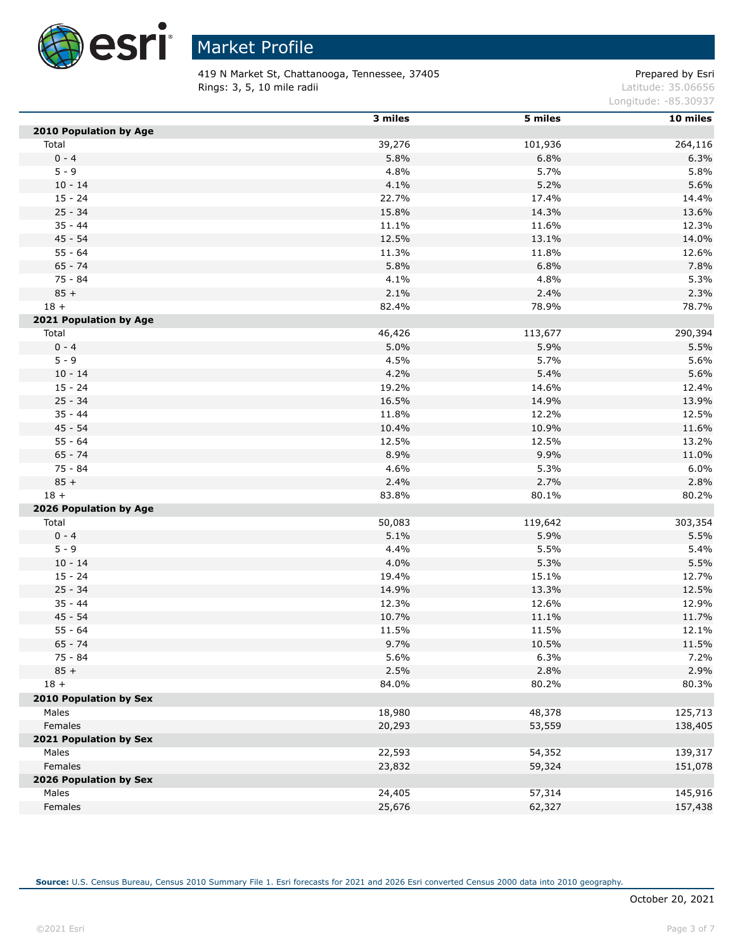

 $\overline{a}$ 

# Market Profile

419 N Market St, Chattanooga, Tennessee, 37405 Prepared by Esri Rings: 3, 5, 10 mile radii and the contract of the contract of the contract of the contract of the contract of the contract of the contract of the contract of the contract of the contract of the contract of the contract of

Longitude: -85.30937

|                        | 3 miles | 5 miles | 10 miles |
|------------------------|---------|---------|----------|
| 2010 Population by Age |         |         |          |
| Total                  | 39,276  | 101,936 | 264,116  |
| $0 - 4$                | 5.8%    | 6.8%    | 6.3%     |
| $5 - 9$                | 4.8%    | 5.7%    | 5.8%     |
| $10 - 14$              | 4.1%    | 5.2%    | 5.6%     |
| $15 - 24$              | 22.7%   | 17.4%   | 14.4%    |
| $25 - 34$              | 15.8%   | 14.3%   | 13.6%    |
| $35 - 44$              | 11.1%   | 11.6%   | 12.3%    |
| $45 - 54$              | 12.5%   | 13.1%   | 14.0%    |
| $55 - 64$              | 11.3%   | 11.8%   | 12.6%    |
| $65 - 74$              | 5.8%    | 6.8%    | 7.8%     |
| 75 - 84                | 4.1%    | 4.8%    | 5.3%     |
| $85 +$                 | 2.1%    | 2.4%    | 2.3%     |
| $18 +$                 | 82.4%   | 78.9%   | 78.7%    |
| 2021 Population by Age |         |         |          |
| Total                  | 46,426  | 113,677 | 290,394  |
| $0 - 4$                | 5.0%    | 5.9%    | 5.5%     |
| $5 - 9$                | 4.5%    | 5.7%    | 5.6%     |
| $10 - 14$              | 4.2%    | 5.4%    | 5.6%     |
| $15 - 24$              | 19.2%   | 14.6%   | 12.4%    |
| $25 - 34$              | 16.5%   | 14.9%   | 13.9%    |
| $35 - 44$              | 11.8%   | 12.2%   | 12.5%    |
| $45 - 54$              | 10.4%   | 10.9%   | 11.6%    |
| $55 - 64$              | 12.5%   | 12.5%   | 13.2%    |
| $65 - 74$              | 8.9%    | 9.9%    | 11.0%    |
| 75 - 84                | 4.6%    | 5.3%    | 6.0%     |
| $85 +$                 | 2.4%    | 2.7%    | 2.8%     |
| $18 +$                 | 83.8%   | 80.1%   | 80.2%    |
| 2026 Population by Age |         |         |          |
| Total                  | 50,083  | 119,642 | 303,354  |
| $0 - 4$                | 5.1%    | 5.9%    | 5.5%     |
| $5 - 9$                | 4.4%    | 5.5%    | 5.4%     |
| $10 - 14$              | 4.0%    | 5.3%    | 5.5%     |
| $15 - 24$              | 19.4%   | 15.1%   | 12.7%    |
| $25 - 34$              |         |         |          |
|                        | 14.9%   | 13.3%   | 12.5%    |
| $35 - 44$              | 12.3%   | 12.6%   | 12.9%    |
| $45 - 54$              | 10.7%   | 11.1%   | 11.7%    |
| $55 - 64$              | 11.5%   | 11.5%   | 12.1%    |
| $65 - 74$              | 9.7%    | 10.5%   | 11.5%    |
| 75 - 84                | 5.6%    | 6.3%    | 7.2%     |
| $85 +$                 | 2.5%    | 2.8%    | 2.9%     |
| $18 +$                 | 84.0%   | 80.2%   | 80.3%    |
| 2010 Population by Sex |         |         |          |
| Males                  | 18,980  | 48,378  | 125,713  |
| Females                | 20,293  | 53,559  | 138,405  |
| 2021 Population by Sex |         |         |          |
| Males                  | 22,593  | 54,352  | 139,317  |
| Females                | 23,832  | 59,324  | 151,078  |
| 2026 Population by Sex |         |         |          |
| Males                  | 24,405  | 57,314  | 145,916  |
| Females                | 25,676  | 62,327  | 157,438  |

**Source:** U.S. Census Bureau, Census 2010 Summary File 1. Esri forecasts for 2021 and 2026 Esri converted Census 2000 data into 2010 geography.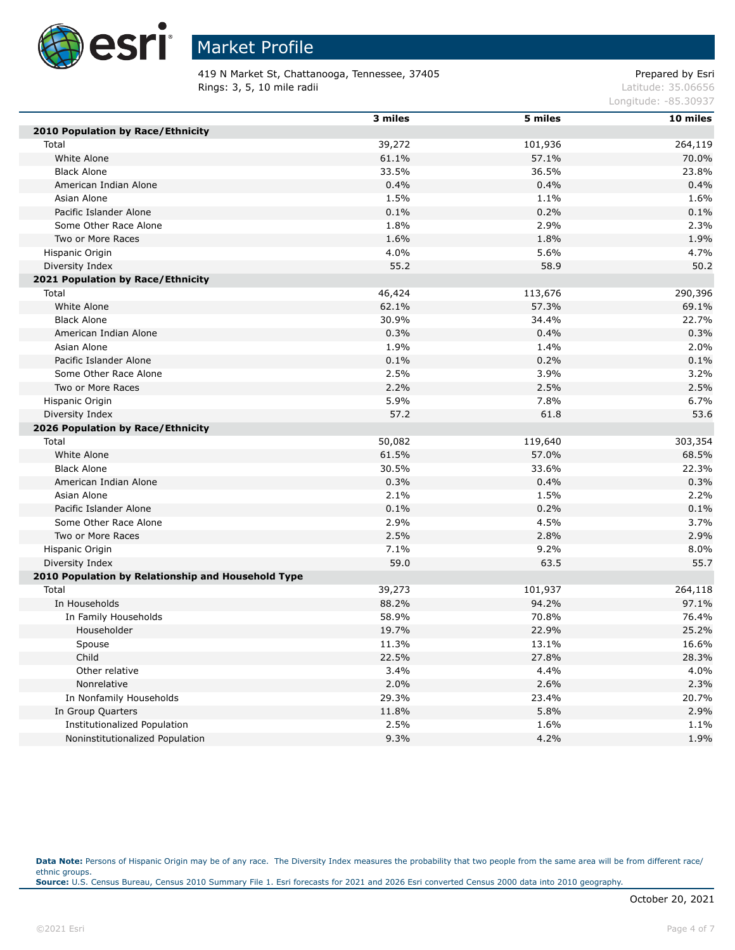

419 N Market St, Chattanooga, Tennessee, 37405 Prepared by Esri Rings: 3, 5, 10 mile radii and the contract of the contract of the contract of the contract of the contract of the contract of the contract of the contract of the contract of the contract of the contract of the contract of

Longitude: -85.30937

|                                                    | 3 miles | 5 miles | 10 miles |
|----------------------------------------------------|---------|---------|----------|
| 2010 Population by Race/Ethnicity                  |         |         |          |
| Total                                              | 39,272  | 101,936 | 264,119  |
| White Alone                                        | 61.1%   | 57.1%   | 70.0%    |
| <b>Black Alone</b>                                 | 33.5%   | 36.5%   | 23.8%    |
| American Indian Alone                              | 0.4%    | 0.4%    | 0.4%     |
| Asian Alone                                        | 1.5%    | 1.1%    | 1.6%     |
| Pacific Islander Alone                             | 0.1%    | 0.2%    | 0.1%     |
| Some Other Race Alone                              | 1.8%    | 2.9%    | 2.3%     |
| Two or More Races                                  | 1.6%    | 1.8%    | 1.9%     |
| Hispanic Origin                                    | 4.0%    | 5.6%    | 4.7%     |
| Diversity Index                                    | 55.2    | 58.9    | 50.2     |
| 2021 Population by Race/Ethnicity                  |         |         |          |
| Total                                              | 46,424  | 113,676 | 290,396  |
| White Alone                                        | 62.1%   | 57.3%   | 69.1%    |
| <b>Black Alone</b>                                 | 30.9%   | 34.4%   | 22.7%    |
| American Indian Alone                              | 0.3%    | 0.4%    | 0.3%     |
| Asian Alone                                        | 1.9%    | 1.4%    | 2.0%     |
| Pacific Islander Alone                             | 0.1%    | 0.2%    | 0.1%     |
| Some Other Race Alone                              | 2.5%    | 3.9%    | 3.2%     |
| Two or More Races                                  | 2.2%    | 2.5%    | 2.5%     |
| Hispanic Origin                                    | 5.9%    | 7.8%    | 6.7%     |
| Diversity Index                                    | 57.2    | 61.8    | 53.6     |
| 2026 Population by Race/Ethnicity                  |         |         |          |
| Total                                              | 50,082  | 119,640 | 303,354  |
| White Alone                                        | 61.5%   | 57.0%   | 68.5%    |
| <b>Black Alone</b>                                 | 30.5%   | 33.6%   | 22.3%    |
| American Indian Alone                              | 0.3%    | 0.4%    | 0.3%     |
| Asian Alone                                        | 2.1%    | 1.5%    | 2.2%     |
| Pacific Islander Alone                             | 0.1%    | 0.2%    | 0.1%     |
| Some Other Race Alone                              | 2.9%    | 4.5%    | 3.7%     |
| Two or More Races                                  | 2.5%    | 2.8%    | 2.9%     |
| Hispanic Origin                                    | 7.1%    | 9.2%    | 8.0%     |
| Diversity Index                                    | 59.0    | 63.5    | 55.7     |
| 2010 Population by Relationship and Household Type |         |         |          |
| Total                                              | 39,273  | 101,937 | 264,118  |
| In Households                                      | 88.2%   | 94.2%   | 97.1%    |
| In Family Households                               | 58.9%   | 70.8%   | 76.4%    |
| Householder                                        | 19.7%   | 22.9%   | 25.2%    |
| Spouse                                             | 11.3%   | 13.1%   | 16.6%    |
| Child                                              | 22.5%   | 27.8%   | 28.3%    |
| Other relative                                     | 3.4%    | 4.4%    | 4.0%     |
| Nonrelative                                        | 2.0%    | 2.6%    | 2.3%     |
| In Nonfamily Households                            | 29.3%   | 23.4%   | 20.7%    |
| In Group Quarters                                  | 11.8%   | 5.8%    | 2.9%     |
| <b>Institutionalized Population</b>                | 2.5%    | 1.6%    | 1.1%     |
| Noninstitutionalized Population                    | 9.3%    | 4.2%    | 1.9%     |

Data Note: Persons of Hispanic Origin may be of any race. The Diversity Index measures the probability that two people from the same area will be from different race/ ethnic groups. **Source:** U.S. Census Bureau, Census 2010 Summary File 1. Esri forecasts for 2021 and 2026 Esri converted Census 2000 data into 2010 geography.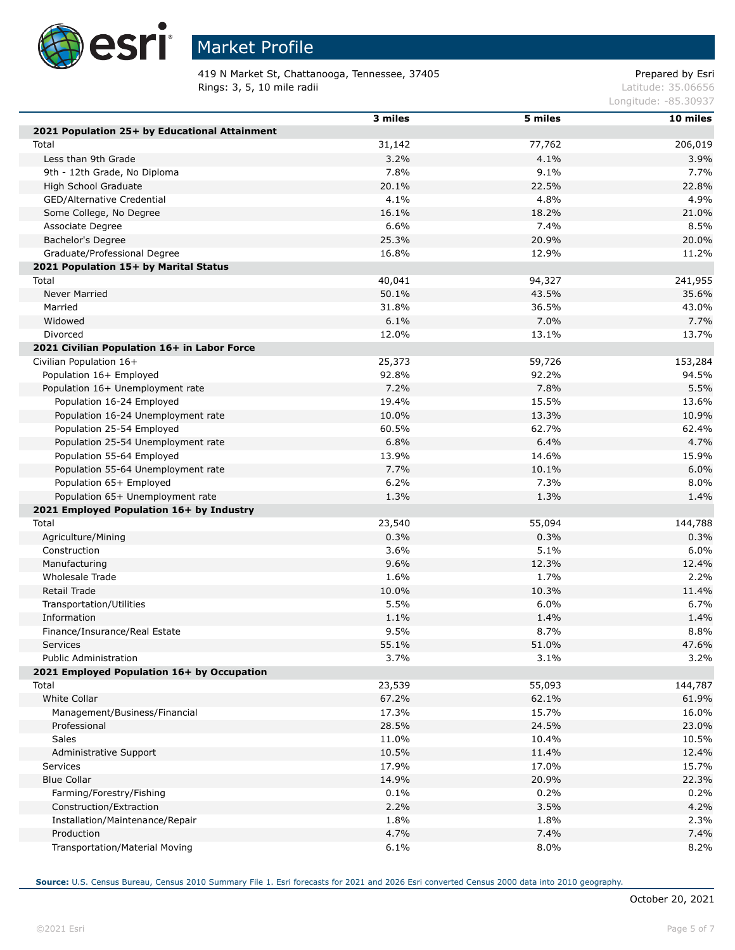

# Market Profile

419 N Market St, Chattanooga, Tennessee, 37405 Prepared by Esri Rings: 3, 5, 10 mile radii and the contract of the contract of the contract of the contract of the contract of the contract of the contract of the contract of the contract of the contract of the contract of the contract of

Longitude: -85.30937

|                                               | 3 miles | 5 miles | 10 miles |
|-----------------------------------------------|---------|---------|----------|
| 2021 Population 25+ by Educational Attainment |         |         |          |
| Total                                         | 31,142  | 77,762  | 206,019  |
| Less than 9th Grade                           | 3.2%    | 4.1%    | 3.9%     |
| 9th - 12th Grade, No Diploma                  | 7.8%    | 9.1%    | 7.7%     |
| High School Graduate                          | 20.1%   | 22.5%   | 22.8%    |
| GED/Alternative Credential                    | 4.1%    | 4.8%    | 4.9%     |
| Some College, No Degree                       | 16.1%   | 18.2%   | 21.0%    |
| Associate Degree                              | 6.6%    | 7.4%    | 8.5%     |
| Bachelor's Degree                             | 25.3%   | 20.9%   | 20.0%    |
| Graduate/Professional Degree                  | 16.8%   | 12.9%   | 11.2%    |
| 2021 Population 15+ by Marital Status         |         |         |          |
| Total                                         | 40,041  | 94,327  | 241,955  |
| <b>Never Married</b>                          | 50.1%   | 43.5%   | 35.6%    |
| Married                                       | 31.8%   | 36.5%   | 43.0%    |
| Widowed                                       | 6.1%    | 7.0%    | 7.7%     |
| Divorced                                      | 12.0%   | 13.1%   | 13.7%    |
| 2021 Civilian Population 16+ in Labor Force   |         |         |          |
| Civilian Population 16+                       | 25,373  | 59,726  | 153,284  |
| Population 16+ Employed                       | 92.8%   | 92.2%   | 94.5%    |
| Population 16+ Unemployment rate              | 7.2%    | 7.8%    | 5.5%     |
| Population 16-24 Employed                     | 19.4%   | 15.5%   | 13.6%    |
| Population 16-24 Unemployment rate            | 10.0%   | 13.3%   | 10.9%    |
| Population 25-54 Employed                     | 60.5%   | 62.7%   | 62.4%    |
| Population 25-54 Unemployment rate            | 6.8%    | 6.4%    | 4.7%     |
| Population 55-64 Employed                     | 13.9%   | 14.6%   | 15.9%    |
| Population 55-64 Unemployment rate            | 7.7%    | 10.1%   | 6.0%     |
| Population 65+ Employed                       | 6.2%    | 7.3%    | 8.0%     |
| Population 65+ Unemployment rate              | 1.3%    | 1.3%    | 1.4%     |
| 2021 Employed Population 16+ by Industry      |         |         |          |
| Total                                         | 23,540  | 55,094  | 144,788  |
| Agriculture/Mining                            | 0.3%    | 0.3%    | 0.3%     |
| Construction                                  | 3.6%    | 5.1%    | 6.0%     |
| Manufacturing                                 | 9.6%    | 12.3%   | 12.4%    |
| Wholesale Trade                               | 1.6%    | 1.7%    | 2.2%     |
| <b>Retail Trade</b>                           | 10.0%   | 10.3%   | 11.4%    |
| Transportation/Utilities                      | 5.5%    | 6.0%    | 6.7%     |
| Information                                   | 1.1%    | 1.4%    | 1.4%     |
| Finance/Insurance/Real Estate                 | 9.5%    | 8.7%    | 8.8%     |
| Services                                      | 55.1%   | 51.0%   | 47.6%    |
| <b>Public Administration</b>                  | 3.7%    | 3.1%    | 3.2%     |
| 2021 Employed Population 16+ by Occupation    |         |         |          |
| Total                                         | 23,539  | 55,093  | 144,787  |
| White Collar                                  | 67.2%   | 62.1%   | 61.9%    |
| Management/Business/Financial                 | 17.3%   | 15.7%   | 16.0%    |
| Professional                                  | 28.5%   | 24.5%   | 23.0%    |
| <b>Sales</b>                                  | 11.0%   | 10.4%   | 10.5%    |
| Administrative Support                        | 10.5%   | 11.4%   | 12.4%    |
| <b>Services</b>                               | 17.9%   | 17.0%   | 15.7%    |
| <b>Blue Collar</b>                            | 14.9%   | 20.9%   | 22.3%    |
| Farming/Forestry/Fishing                      | 0.1%    | 0.2%    | 0.2%     |
| Construction/Extraction                       | 2.2%    | 3.5%    | 4.2%     |
| Installation/Maintenance/Repair               | 1.8%    | 1.8%    | 2.3%     |
| Production                                    | 4.7%    | 7.4%    | 7.4%     |
| Transportation/Material Moving                | 6.1%    | 8.0%    | 8.2%     |

**Source:** U.S. Census Bureau, Census 2010 Summary File 1. Esri forecasts for 2021 and 2026 Esri converted Census 2000 data into 2010 geography.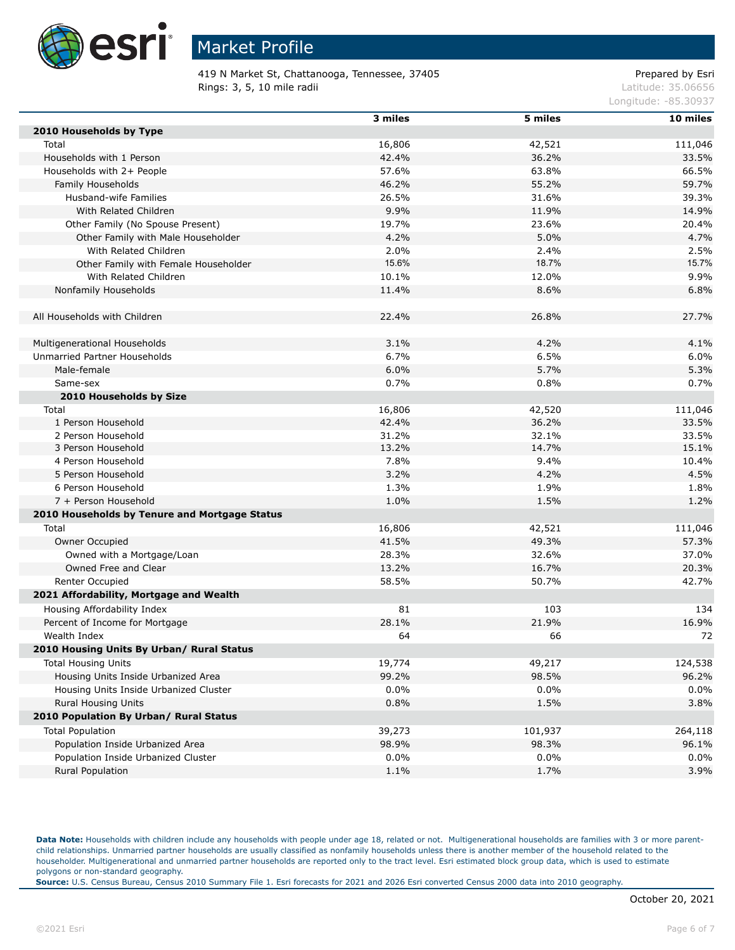

419 N Market St, Chattanooga, Tennessee, 37405 Prepared by Esri Rings: 3, 5, 10 mile radii and the contract of the contract of the contract of the contract of the contract of the contract of the contract of the contract of the contract of the contract of the contract of the contract of

Longitude: -85.30937

|                                               | 3 miles | 5 miles | 10 miles |
|-----------------------------------------------|---------|---------|----------|
| 2010 Households by Type                       |         |         |          |
| Total                                         | 16,806  | 42,521  | 111,046  |
| Households with 1 Person                      | 42.4%   | 36.2%   | 33.5%    |
| Households with 2+ People                     | 57.6%   | 63.8%   | 66.5%    |
| Family Households                             | 46.2%   | 55.2%   | 59.7%    |
| Husband-wife Families                         | 26.5%   | 31.6%   | 39.3%    |
| With Related Children                         | 9.9%    | 11.9%   | 14.9%    |
| Other Family (No Spouse Present)              | 19.7%   | 23.6%   | 20.4%    |
| Other Family with Male Householder            | 4.2%    | 5.0%    | 4.7%     |
| With Related Children                         | 2.0%    | 2.4%    | 2.5%     |
| Other Family with Female Householder          | 15.6%   | 18.7%   | 15.7%    |
| With Related Children                         | 10.1%   | 12.0%   | 9.9%     |
| Nonfamily Households                          | 11.4%   | 8.6%    | 6.8%     |
|                                               |         |         |          |
| All Households with Children                  | 22.4%   | 26.8%   | 27.7%    |
|                                               |         |         |          |
| Multigenerational Households                  | 3.1%    | 4.2%    | 4.1%     |
| Unmarried Partner Households                  | 6.7%    | 6.5%    | 6.0%     |
| Male-female                                   | 6.0%    | 5.7%    | 5.3%     |
| Same-sex                                      | 0.7%    | 0.8%    | 0.7%     |
| 2010 Households by Size                       |         |         |          |
| Total                                         | 16,806  | 42,520  | 111,046  |
| 1 Person Household                            | 42.4%   | 36.2%   | 33.5%    |
| 2 Person Household                            | 31.2%   | 32.1%   | 33.5%    |
| 3 Person Household                            | 13.2%   | 14.7%   | 15.1%    |
| 4 Person Household                            | 7.8%    | 9.4%    | 10.4%    |
| 5 Person Household                            | 3.2%    | 4.2%    | 4.5%     |
| 6 Person Household                            | 1.3%    | 1.9%    | 1.8%     |
| 7 + Person Household                          | 1.0%    | 1.5%    | 1.2%     |
| 2010 Households by Tenure and Mortgage Status |         |         |          |
| Total                                         | 16,806  | 42,521  | 111,046  |
| Owner Occupied                                | 41.5%   | 49.3%   | 57.3%    |
| Owned with a Mortgage/Loan                    | 28.3%   | 32.6%   | 37.0%    |
| Owned Free and Clear                          | 13.2%   | 16.7%   | 20.3%    |
| Renter Occupied                               | 58.5%   | 50.7%   | 42.7%    |
| 2021 Affordability, Mortgage and Wealth       |         |         |          |
| Housing Affordability Index                   | 81      | 103     | 134      |
| Percent of Income for Mortgage                | 28.1%   | 21.9%   | 16.9%    |
| Wealth Index                                  | 64      | 66      | 72       |
| 2010 Housing Units By Urban/ Rural Status     |         |         |          |
| <b>Total Housing Units</b>                    | 19,774  | 49,217  | 124,538  |
| Housing Units Inside Urbanized Area           | 99.2%   | 98.5%   | 96.2%    |
| Housing Units Inside Urbanized Cluster        | 0.0%    | $0.0\%$ | $0.0\%$  |
| Rural Housing Units                           | 0.8%    | 1.5%    | 3.8%     |
| 2010 Population By Urban/ Rural Status        |         |         |          |
| <b>Total Population</b>                       | 39,273  | 101,937 | 264,118  |
| Population Inside Urbanized Area              | 98.9%   | 98.3%   | 96.1%    |
| Population Inside Urbanized Cluster           | $0.0\%$ | $0.0\%$ | $0.0\%$  |
| Rural Population                              | 1.1%    | 1.7%    | 3.9%     |

Data Note: Households with children include any households with people under age 18, related or not. Multigenerational households are families with 3 or more parentchild relationships. Unmarried partner households are usually classified as nonfamily households unless there is another member of the household related to the householder. Multigenerational and unmarried partner households are reported only to the tract level. Esri estimated block group data, which is used to estimate polygons or non-standard geography.

**Source:** U.S. Census Bureau, Census 2010 Summary File 1. Esri forecasts for 2021 and 2026 Esri converted Census 2000 data into 2010 geography.